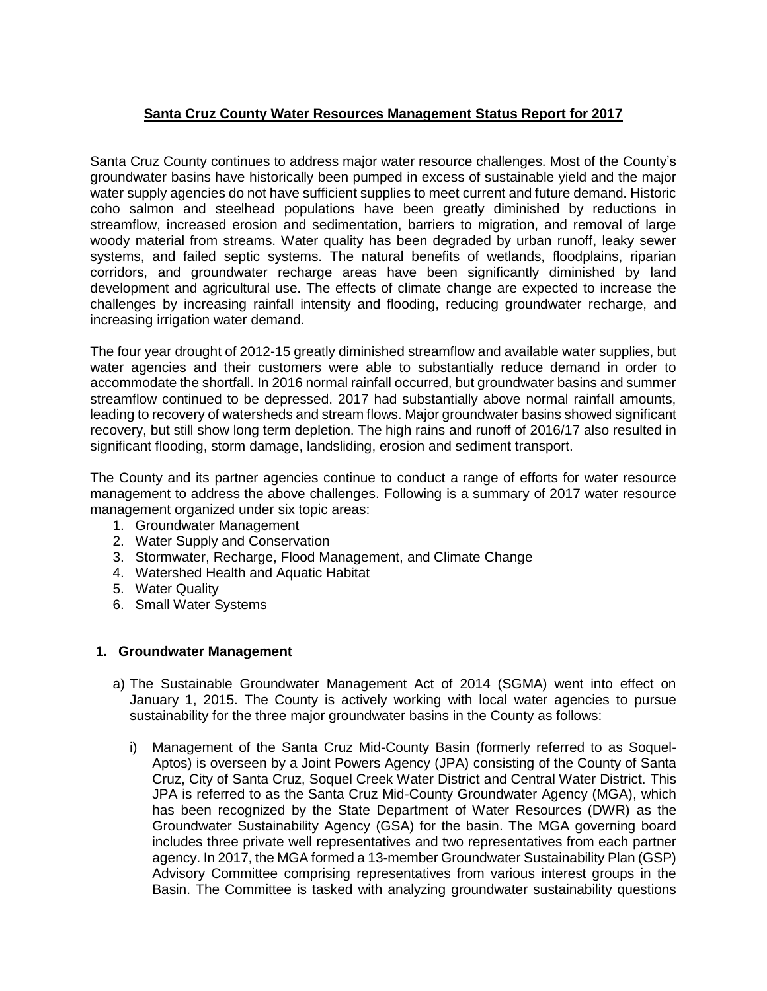# **Santa Cruz County Water Resources Management Status Report for 2017**

Santa Cruz County continues to address major water resource challenges. Most of the County's groundwater basins have historically been pumped in excess of sustainable yield and the major water supply agencies do not have sufficient supplies to meet current and future demand. Historic coho salmon and steelhead populations have been greatly diminished by reductions in streamflow, increased erosion and sedimentation, barriers to migration, and removal of large woody material from streams. Water quality has been degraded by urban runoff, leaky sewer systems, and failed septic systems. The natural benefits of wetlands, floodplains, riparian corridors, and groundwater recharge areas have been significantly diminished by land development and agricultural use. The effects of climate change are expected to increase the challenges by increasing rainfall intensity and flooding, reducing groundwater recharge, and increasing irrigation water demand.

The four year drought of 2012-15 greatly diminished streamflow and available water supplies, but water agencies and their customers were able to substantially reduce demand in order to accommodate the shortfall. In 2016 normal rainfall occurred, but groundwater basins and summer streamflow continued to be depressed. 2017 had substantially above normal rainfall amounts, leading to recovery of watersheds and stream flows. Major groundwater basins showed significant recovery, but still show long term depletion. The high rains and runoff of 2016/17 also resulted in significant flooding, storm damage, landsliding, erosion and sediment transport.

The County and its partner agencies continue to conduct a range of efforts for water resource management to address the above challenges. Following is a summary of 2017 water resource management organized under six topic areas:

- 1. Groundwater Management
- 2. Water Supply and Conservation
- 3. Stormwater, Recharge, Flood Management, and Climate Change
- 4. Watershed Health and Aquatic Habitat
- 5. Water Quality
- 6. Small Water Systems

### **1. Groundwater Management**

- a) The Sustainable Groundwater Management Act of 2014 (SGMA) went into effect on January 1, 2015. The County is actively working with local water agencies to pursue sustainability for the three major groundwater basins in the County as follows:
	- i) Management of the Santa Cruz Mid-County Basin (formerly referred to as Soquel-Aptos) is overseen by a Joint Powers Agency (JPA) consisting of the County of Santa Cruz, City of Santa Cruz, Soquel Creek Water District and Central Water District. This JPA is referred to as the Santa Cruz Mid-County Groundwater Agency (MGA), which has been recognized by the State Department of Water Resources (DWR) as the Groundwater Sustainability Agency (GSA) for the basin. The MGA governing board includes three private well representatives and two representatives from each partner agency. In 2017, the MGA formed a 13-member Groundwater Sustainability Plan (GSP) Advisory Committee comprising representatives from various interest groups in the Basin. The Committee is tasked with analyzing groundwater sustainability questions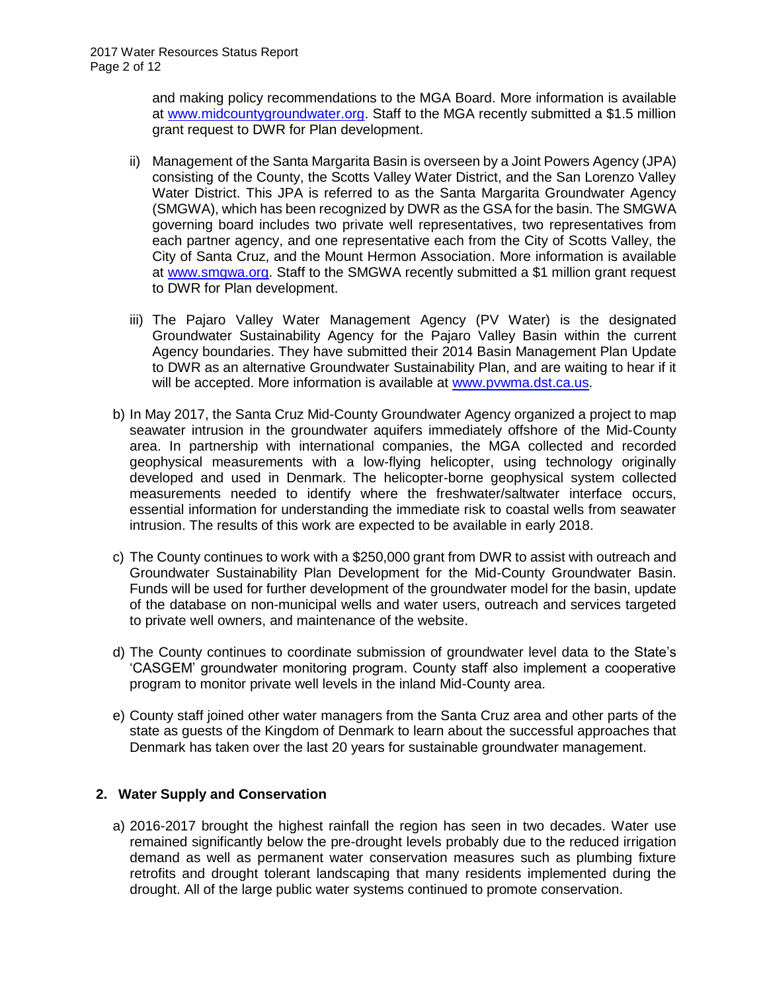and making policy recommendations to the MGA Board. More information is available at [www.midcountygroundwater.org.](http://www.midcountygroundwater.org/) Staff to the MGA recently submitted a \$1.5 million grant request to DWR for Plan development.

- ii) Management of the Santa Margarita Basin is overseen by a Joint Powers Agency (JPA) consisting of the County, the Scotts Valley Water District, and the San Lorenzo Valley Water District. This JPA is referred to as the Santa Margarita Groundwater Agency (SMGWA), which has been recognized by DWR as the GSA for the basin. The SMGWA governing board includes two private well representatives, two representatives from each partner agency, and one representative each from the City of Scotts Valley, the City of Santa Cruz, and the Mount Hermon Association. More information is available at [www.smgwa.org.](http://www.smgwa.org/) Staff to the SMGWA recently submitted a \$1 million grant request to DWR for Plan development.
- iii) The Pajaro Valley Water Management Agency (PV Water) is the designated Groundwater Sustainability Agency for the Pajaro Valley Basin within the current Agency boundaries. They have submitted their 2014 Basin Management Plan Update to DWR as an alternative Groundwater Sustainability Plan, and are waiting to hear if it will be accepted. More information is available at [www.pvwma.dst.ca.us.](http://www.pvwma.dst.ca.us/)
- b) In May 2017, the Santa Cruz Mid-County Groundwater Agency organized a project to map seawater intrusion in the groundwater aquifers immediately offshore of the Mid-County area. In partnership with international companies, the MGA collected and recorded geophysical measurements with a low-flying helicopter, using technology originally developed and used in Denmark. The helicopter-borne geophysical system collected measurements needed to identify where the freshwater/saltwater interface occurs, essential information for understanding the immediate risk to coastal wells from seawater intrusion. The results of this work are expected to be available in early 2018.
- c) The County continues to work with a \$250,000 grant from DWR to assist with outreach and Groundwater Sustainability Plan Development for the Mid-County Groundwater Basin. Funds will be used for further development of the groundwater model for the basin, update of the database on non-municipal wells and water users, outreach and services targeted to private well owners, and maintenance of the website.
- d) The County continues to coordinate submission of groundwater level data to the State's 'CASGEM' groundwater monitoring program. County staff also implement a cooperative program to monitor private well levels in the inland Mid-County area.
- e) County staff joined other water managers from the Santa Cruz area and other parts of the state as guests of the Kingdom of Denmark to learn about the successful approaches that Denmark has taken over the last 20 years for sustainable groundwater management.

### **2. Water Supply and Conservation**

a) 2016-2017 brought the highest rainfall the region has seen in two decades. Water use remained significantly below the pre-drought levels probably due to the reduced irrigation demand as well as permanent water conservation measures such as plumbing fixture retrofits and drought tolerant landscaping that many residents implemented during the drought. All of the large public water systems continued to promote conservation.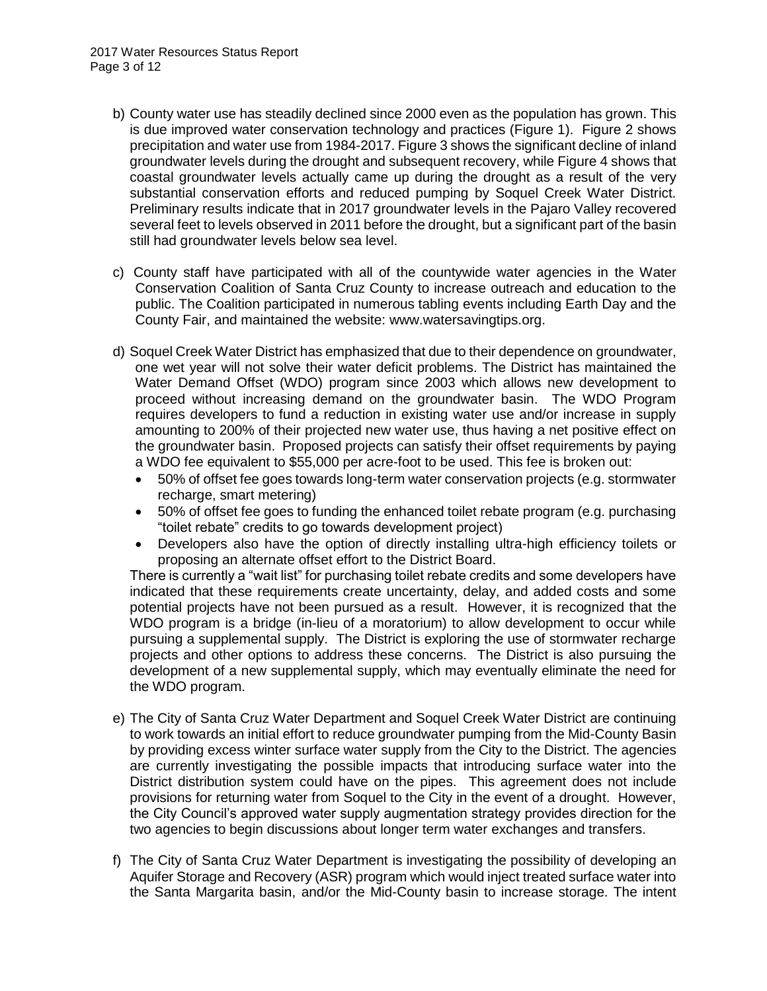- b) County water use has steadily declined since 2000 even as the population has grown. This is due improved water conservation technology and practices (Figure 1). Figure 2 shows precipitation and water use from 1984-2017. Figure 3 shows the significant decline of inland groundwater levels during the drought and subsequent recovery, while Figure 4 shows that coastal groundwater levels actually came up during the drought as a result of the very substantial conservation efforts and reduced pumping by Soquel Creek Water District. Preliminary results indicate that in 2017 groundwater levels in the Pajaro Valley recovered several feet to levels observed in 2011 before the drought, but a significant part of the basin still had groundwater levels below sea level.
- c) County staff have participated with all of the countywide water agencies in the Water Conservation Coalition of Santa Cruz County to increase outreach and education to the public. The Coalition participated in numerous tabling events including Earth Day and the County Fair, and maintained the website: www.watersavingtips.org.
- d) Soquel Creek Water District has emphasized that due to their dependence on groundwater, one wet year will not solve their water deficit problems. The District has maintained the Water Demand Offset (WDO) program since 2003 which allows new development to proceed without increasing demand on the groundwater basin. The WDO Program requires developers to fund a reduction in existing water use and/or increase in supply amounting to 200% of their projected new water use, thus having a net positive effect on the groundwater basin. Proposed projects can satisfy their offset requirements by paying a WDO fee equivalent to \$55,000 per acre-foot to be used. This fee is broken out:
	- 50% of offset fee goes towards long-term water conservation projects (e.g. stormwater recharge, smart metering)
	- 50% of offset fee goes to funding the enhanced toilet rebate program (e.g. purchasing "toilet rebate" credits to go towards development project)
	- Developers also have the option of directly installing ultra-high efficiency toilets or proposing an alternate offset effort to the District Board.

There is currently a "wait list" for purchasing toilet rebate credits and some developers have indicated that these requirements create uncertainty, delay, and added costs and some potential projects have not been pursued as a result. However, it is recognized that the WDO program is a bridge (in-lieu of a moratorium) to allow development to occur while pursuing a supplemental supply. The District is exploring the use of stormwater recharge projects and other options to address these concerns. The District is also pursuing the development of a new supplemental supply, which may eventually eliminate the need for the WDO program.

- e) The City of Santa Cruz Water Department and Soquel Creek Water District are continuing to work towards an initial effort to reduce groundwater pumping from the Mid-County Basin by providing excess winter surface water supply from the City to the District. The agencies are currently investigating the possible impacts that introducing surface water into the District distribution system could have on the pipes. This agreement does not include provisions for returning water from Soquel to the City in the event of a drought. However, the City Council's approved water supply augmentation strategy provides direction for the two agencies to begin discussions about longer term water exchanges and transfers.
- f) The City of Santa Cruz Water Department is investigating the possibility of developing an Aquifer Storage and Recovery (ASR) program which would inject treated surface water into the Santa Margarita basin, and/or the Mid-County basin to increase storage. The intent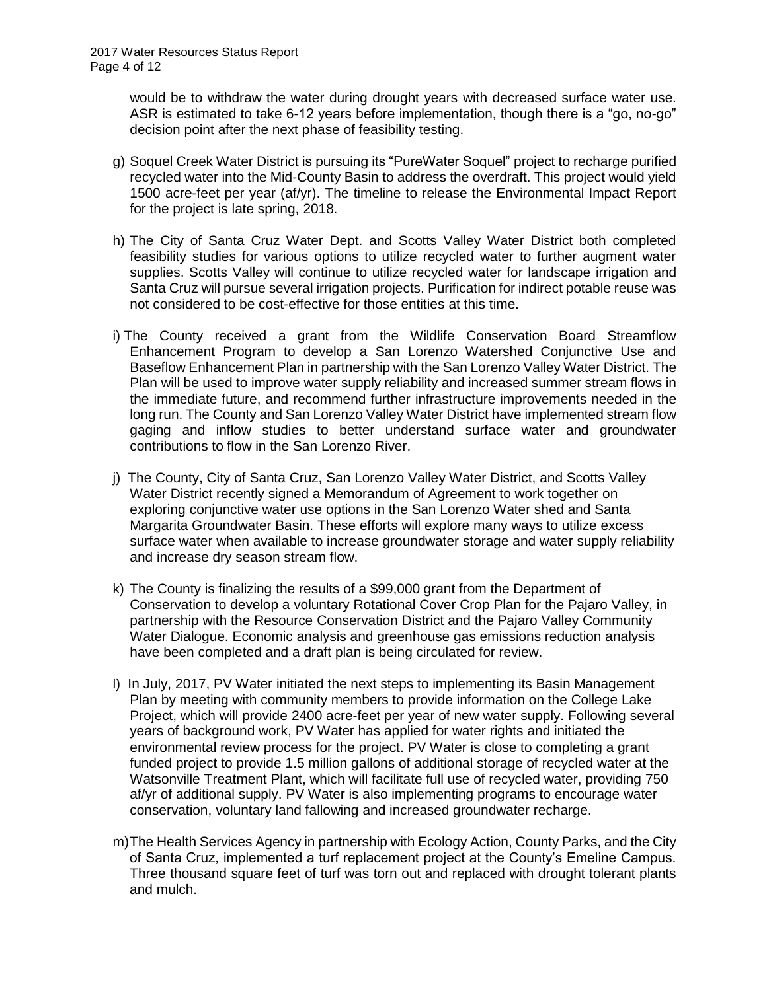would be to withdraw the water during drought years with decreased surface water use. ASR is estimated to take 6-12 years before implementation, though there is a "go, no-go" decision point after the next phase of feasibility testing.

- g) Soquel Creek Water District is pursuing its "PureWater Soquel" project to recharge purified recycled water into the Mid-County Basin to address the overdraft. This project would yield 1500 acre-feet per year (af/yr). The timeline to release the Environmental Impact Report for the project is late spring, 2018.
- h) The City of Santa Cruz Water Dept. and Scotts Valley Water District both completed feasibility studies for various options to utilize recycled water to further augment water supplies. Scotts Valley will continue to utilize recycled water for landscape irrigation and Santa Cruz will pursue several irrigation projects. Purification for indirect potable reuse was not considered to be cost-effective for those entities at this time.
- i) The County received a grant from the Wildlife Conservation Board Streamflow Enhancement Program to develop a San Lorenzo Watershed Conjunctive Use and Baseflow Enhancement Plan in partnership with the San Lorenzo Valley Water District. The Plan will be used to improve water supply reliability and increased summer stream flows in the immediate future, and recommend further infrastructure improvements needed in the long run. The County and San Lorenzo Valley Water District have implemented stream flow gaging and inflow studies to better understand surface water and groundwater contributions to flow in the San Lorenzo River.
- j) The County, City of Santa Cruz, San Lorenzo Valley Water District, and Scotts Valley Water District recently signed a Memorandum of Agreement to work together on exploring conjunctive water use options in the San Lorenzo Water shed and Santa Margarita Groundwater Basin. These efforts will explore many ways to utilize excess surface water when available to increase groundwater storage and water supply reliability and increase dry season stream flow.
- k) The County is finalizing the results of a \$99,000 grant from the Department of Conservation to develop a voluntary Rotational Cover Crop Plan for the Pajaro Valley, in partnership with the Resource Conservation District and the Pajaro Valley Community Water Dialogue. Economic analysis and greenhouse gas emissions reduction analysis have been completed and a draft plan is being circulated for review.
- l) In July, 2017, PV Water initiated the next steps to implementing its Basin Management Plan by meeting with community members to provide information on the College Lake Project, which will provide 2400 acre-feet per year of new water supply. Following several years of background work, PV Water has applied for water rights and initiated the environmental review process for the project. PV Water is close to completing a grant funded project to provide 1.5 million gallons of additional storage of recycled water at the Watsonville Treatment Plant, which will facilitate full use of recycled water, providing 750 af/yr of additional supply. PV Water is also implementing programs to encourage water conservation, voluntary land fallowing and increased groundwater recharge.
- m)The Health Services Agency in partnership with Ecology Action, County Parks, and the City of Santa Cruz, implemented a turf replacement project at the County's Emeline Campus. Three thousand square feet of turf was torn out and replaced with drought tolerant plants and mulch.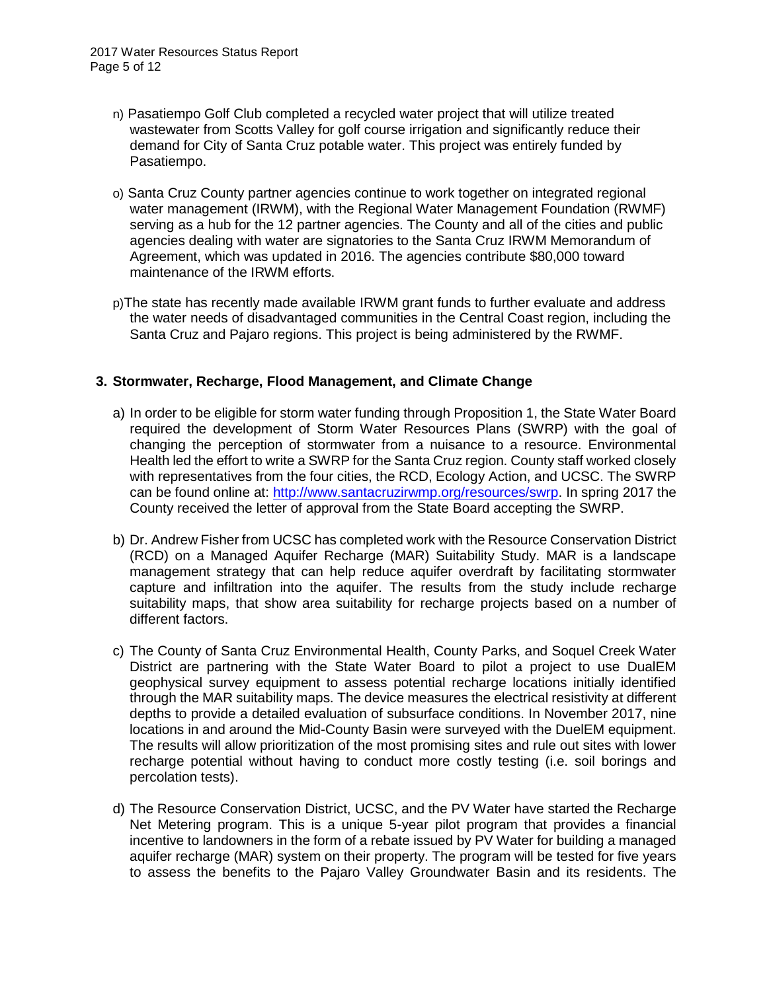- n) Pasatiempo Golf Club completed a recycled water project that will utilize treated wastewater from Scotts Valley for golf course irrigation and significantly reduce their demand for City of Santa Cruz potable water. This project was entirely funded by Pasatiempo.
- o) Santa Cruz County partner agencies continue to work together on integrated regional water management (IRWM), with the Regional Water Management Foundation (RWMF) serving as a hub for the 12 partner agencies. The County and all of the cities and public agencies dealing with water are signatories to the Santa Cruz IRWM Memorandum of Agreement, which was updated in 2016. The agencies contribute \$80,000 toward maintenance of the IRWM efforts.
- p)The state has recently made available IRWM grant funds to further evaluate and address the water needs of disadvantaged communities in the Central Coast region, including the Santa Cruz and Pajaro regions. This project is being administered by the RWMF.

### **3. Stormwater, Recharge, Flood Management, and Climate Change**

- a) In order to be eligible for storm water funding through Proposition 1, the State Water Board required the development of Storm Water Resources Plans (SWRP) with the goal of changing the perception of stormwater from a nuisance to a resource. Environmental Health led the effort to write a SWRP for the Santa Cruz region. County staff worked closely with representatives from the four cities, the RCD, Ecology Action, and UCSC. The SWRP can be found online at: [http://www.santacruzirwmp.org/resources/swrp.](http://www.santacruzirwmp.org/resources/swrp) In spring 2017 the County received the letter of approval from the State Board accepting the SWRP.
- b) Dr. Andrew Fisher from UCSC has completed work with the Resource Conservation District (RCD) on a Managed Aquifer Recharge (MAR) Suitability Study. MAR is a landscape management strategy that can help reduce aquifer overdraft by facilitating stormwater capture and infiltration into the aquifer. The results from the study include recharge suitability maps, that show area suitability for recharge projects based on a number of different factors.
- c) The County of Santa Cruz Environmental Health, County Parks, and Soquel Creek Water District are partnering with the State Water Board to pilot a project to use DualEM geophysical survey equipment to assess potential recharge locations initially identified through the MAR suitability maps. The device measures the electrical resistivity at different depths to provide a detailed evaluation of subsurface conditions. In November 2017, nine locations in and around the Mid-County Basin were surveyed with the DuelEM equipment. The results will allow prioritization of the most promising sites and rule out sites with lower recharge potential without having to conduct more costly testing (i.e. soil borings and percolation tests).
- d) The Resource Conservation District, UCSC, and the PV Water have started the Recharge Net Metering program. This is a unique 5-year pilot program that provides a financial incentive to landowners in the form of a rebate issued by PV Water for building a managed aquifer recharge (MAR) system on their property. The program will be tested for five years to assess the benefits to the Pajaro Valley Groundwater Basin and its residents. The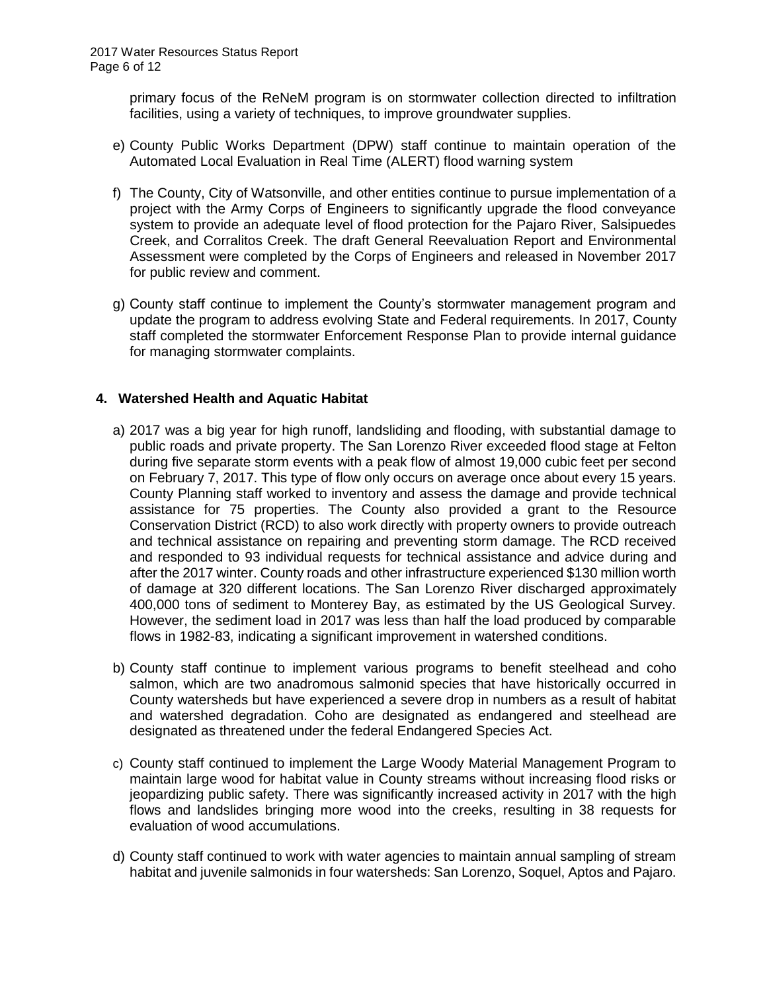primary focus of the ReNeM program is on stormwater collection directed to infiltration facilities, using a variety of techniques, to improve groundwater supplies.

- e) County Public Works Department (DPW) staff continue to maintain operation of the Automated Local Evaluation in Real Time (ALERT) flood warning system
- f) The County, City of Watsonville, and other entities continue to pursue implementation of a project with the Army Corps of Engineers to significantly upgrade the flood conveyance system to provide an adequate level of flood protection for the Pajaro River, Salsipuedes Creek, and Corralitos Creek. The draft General Reevaluation Report and Environmental Assessment were completed by the Corps of Engineers and released in November 2017 for public review and comment.
- g) County staff continue to implement the County's stormwater management program and update the program to address evolving State and Federal requirements. In 2017, County staff completed the stormwater Enforcement Response Plan to provide internal guidance for managing stormwater complaints.

## **4. Watershed Health and Aquatic Habitat**

- a) 2017 was a big year for high runoff, landsliding and flooding, with substantial damage to public roads and private property. The San Lorenzo River exceeded flood stage at Felton during five separate storm events with a peak flow of almost 19,000 cubic feet per second on February 7, 2017. This type of flow only occurs on average once about every 15 years. County Planning staff worked to inventory and assess the damage and provide technical assistance for 75 properties. The County also provided a grant to the Resource Conservation District (RCD) to also work directly with property owners to provide outreach and technical assistance on repairing and preventing storm damage. The RCD received and responded to 93 individual requests for technical assistance and advice during and after the 2017 winter. County roads and other infrastructure experienced \$130 million worth of damage at 320 different locations. The San Lorenzo River discharged approximately 400,000 tons of sediment to Monterey Bay, as estimated by the US Geological Survey. However, the sediment load in 2017 was less than half the load produced by comparable flows in 1982-83, indicating a significant improvement in watershed conditions.
- b) County staff continue to implement various programs to benefit steelhead and coho salmon, which are two anadromous salmonid species that have historically occurred in County watersheds but have experienced a severe drop in numbers as a result of habitat and watershed degradation. Coho are designated as endangered and steelhead are designated as threatened under the federal Endangered Species Act.
- c) County staff continued to implement the Large Woody Material Management Program to maintain large wood for habitat value in County streams without increasing flood risks or jeopardizing public safety. There was significantly increased activity in 2017 with the high flows and landslides bringing more wood into the creeks, resulting in 38 requests for evaluation of wood accumulations.
- d) County staff continued to work with water agencies to maintain annual sampling of stream habitat and juvenile salmonids in four watersheds: San Lorenzo, Soquel, Aptos and Pajaro.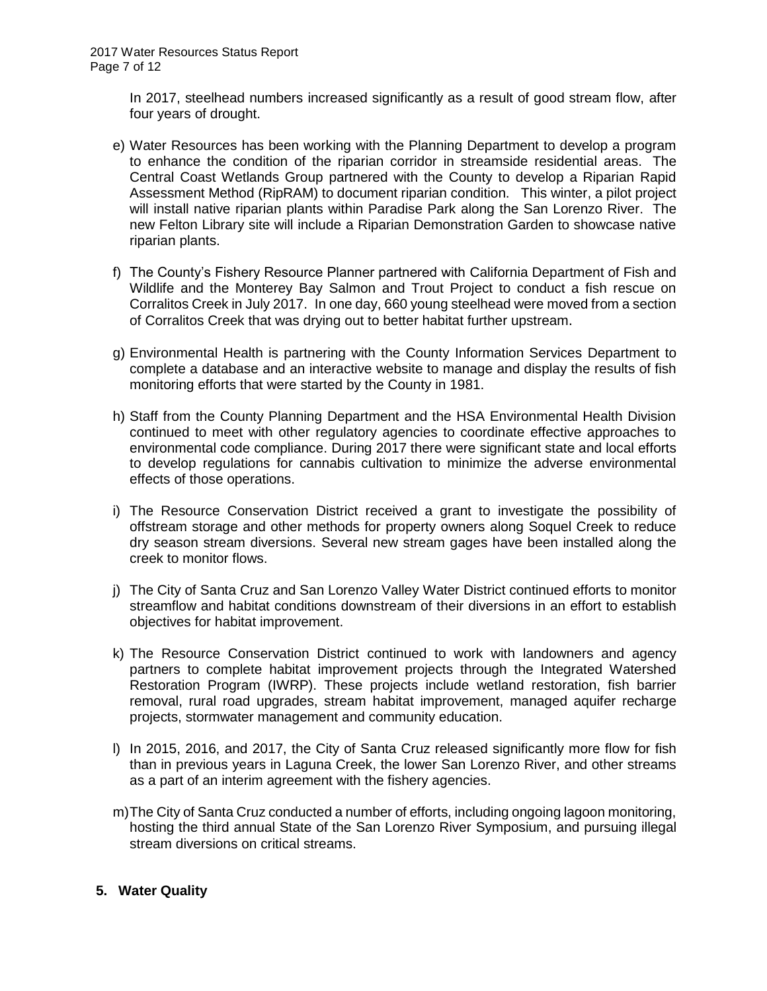In 2017, steelhead numbers increased significantly as a result of good stream flow, after four years of drought.

- e) Water Resources has been working with the Planning Department to develop a program to enhance the condition of the riparian corridor in streamside residential areas. The Central Coast Wetlands Group partnered with the County to develop a Riparian Rapid Assessment Method (RipRAM) to document riparian condition. This winter, a pilot project will install native riparian plants within Paradise Park along the San Lorenzo River. The new Felton Library site will include a Riparian Demonstration Garden to showcase native riparian plants.
- f) The County's Fishery Resource Planner partnered with California Department of Fish and Wildlife and the Monterey Bay Salmon and Trout Project to conduct a fish rescue on Corralitos Creek in July 2017. In one day, 660 young steelhead were moved from a section of Corralitos Creek that was drying out to better habitat further upstream.
- g) Environmental Health is partnering with the County Information Services Department to complete a database and an interactive website to manage and display the results of fish monitoring efforts that were started by the County in 1981.
- h) Staff from the County Planning Department and the HSA Environmental Health Division continued to meet with other regulatory agencies to coordinate effective approaches to environmental code compliance. During 2017 there were significant state and local efforts to develop regulations for cannabis cultivation to minimize the adverse environmental effects of those operations.
- i) The Resource Conservation District received a grant to investigate the possibility of offstream storage and other methods for property owners along Soquel Creek to reduce dry season stream diversions. Several new stream gages have been installed along the creek to monitor flows.
- j) The City of Santa Cruz and San Lorenzo Valley Water District continued efforts to monitor streamflow and habitat conditions downstream of their diversions in an effort to establish objectives for habitat improvement.
- k) The Resource Conservation District continued to work with landowners and agency partners to complete habitat improvement projects through the Integrated Watershed Restoration Program (IWRP). These projects include wetland restoration, fish barrier removal, rural road upgrades, stream habitat improvement, managed aquifer recharge projects, stormwater management and community education.
- l) In 2015, 2016, and 2017, the City of Santa Cruz released significantly more flow for fish than in previous years in Laguna Creek, the lower San Lorenzo River, and other streams as a part of an interim agreement with the fishery agencies.
- m)The City of Santa Cruz conducted a number of efforts, including ongoing lagoon monitoring, hosting the third annual State of the San Lorenzo River Symposium, and pursuing illegal stream diversions on critical streams.

### **5. Water Quality**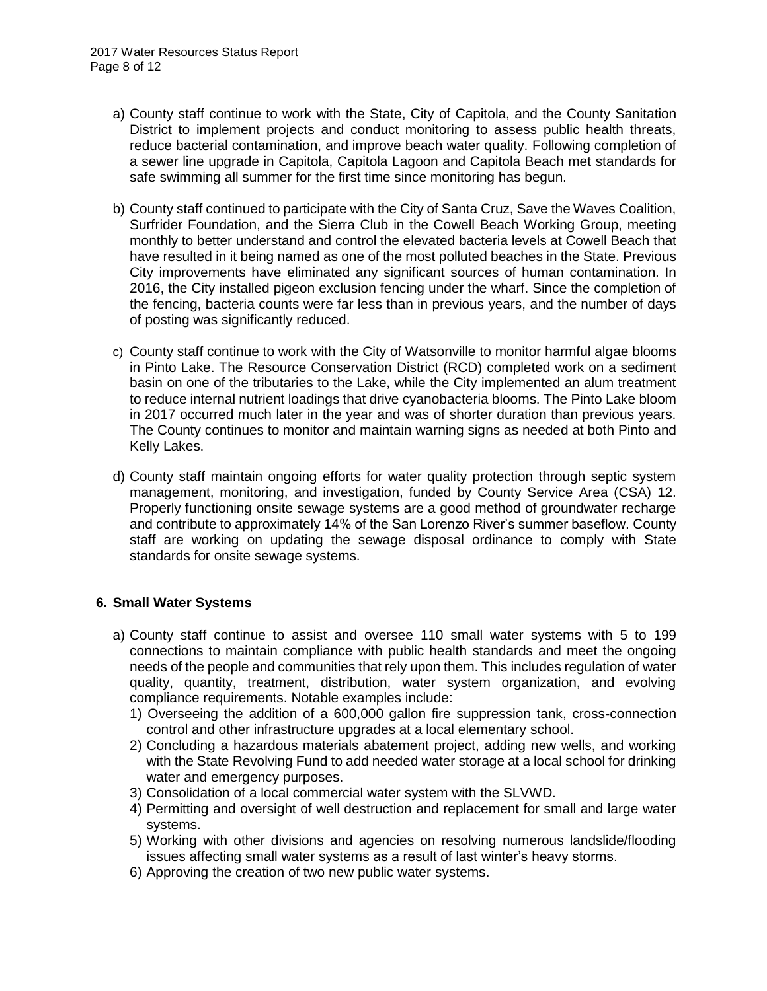- a) County staff continue to work with the State, City of Capitola, and the County Sanitation District to implement projects and conduct monitoring to assess public health threats, reduce bacterial contamination, and improve beach water quality. Following completion of a sewer line upgrade in Capitola, Capitola Lagoon and Capitola Beach met standards for safe swimming all summer for the first time since monitoring has begun.
- b) County staff continued to participate with the City of Santa Cruz, Save the Waves Coalition, Surfrider Foundation, and the Sierra Club in the Cowell Beach Working Group, meeting monthly to better understand and control the elevated bacteria levels at Cowell Beach that have resulted in it being named as one of the most polluted beaches in the State. Previous City improvements have eliminated any significant sources of human contamination. In 2016, the City installed pigeon exclusion fencing under the wharf. Since the completion of the fencing, bacteria counts were far less than in previous years, and the number of days of posting was significantly reduced.
- c) County staff continue to work with the City of Watsonville to monitor harmful algae blooms in Pinto Lake. The Resource Conservation District (RCD) completed work on a sediment basin on one of the tributaries to the Lake, while the City implemented an alum treatment to reduce internal nutrient loadings that drive cyanobacteria blooms. The Pinto Lake bloom in 2017 occurred much later in the year and was of shorter duration than previous years. The County continues to monitor and maintain warning signs as needed at both Pinto and Kelly Lakes.
- d) County staff maintain ongoing efforts for water quality protection through septic system management, monitoring, and investigation, funded by County Service Area (CSA) 12. Properly functioning onsite sewage systems are a good method of groundwater recharge and contribute to approximately 14% of the San Lorenzo River's summer baseflow. County staff are working on updating the sewage disposal ordinance to comply with State standards for onsite sewage systems.

### **6. Small Water Systems**

- a) County staff continue to assist and oversee 110 small water systems with 5 to 199 connections to maintain compliance with public health standards and meet the ongoing needs of the people and communities that rely upon them. This includes regulation of water quality, quantity, treatment, distribution, water system organization, and evolving compliance requirements. Notable examples include:
	- 1) Overseeing the addition of a 600,000 gallon fire suppression tank, cross-connection control and other infrastructure upgrades at a local elementary school.
	- 2) Concluding a hazardous materials abatement project, adding new wells, and working with the State Revolving Fund to add needed water storage at a local school for drinking water and emergency purposes.
	- 3) Consolidation of a local commercial water system with the SLVWD.
	- 4) Permitting and oversight of well destruction and replacement for small and large water systems.
	- 5) Working with other divisions and agencies on resolving numerous landslide/flooding issues affecting small water systems as a result of last winter's heavy storms.
	- 6) Approving the creation of two new public water systems.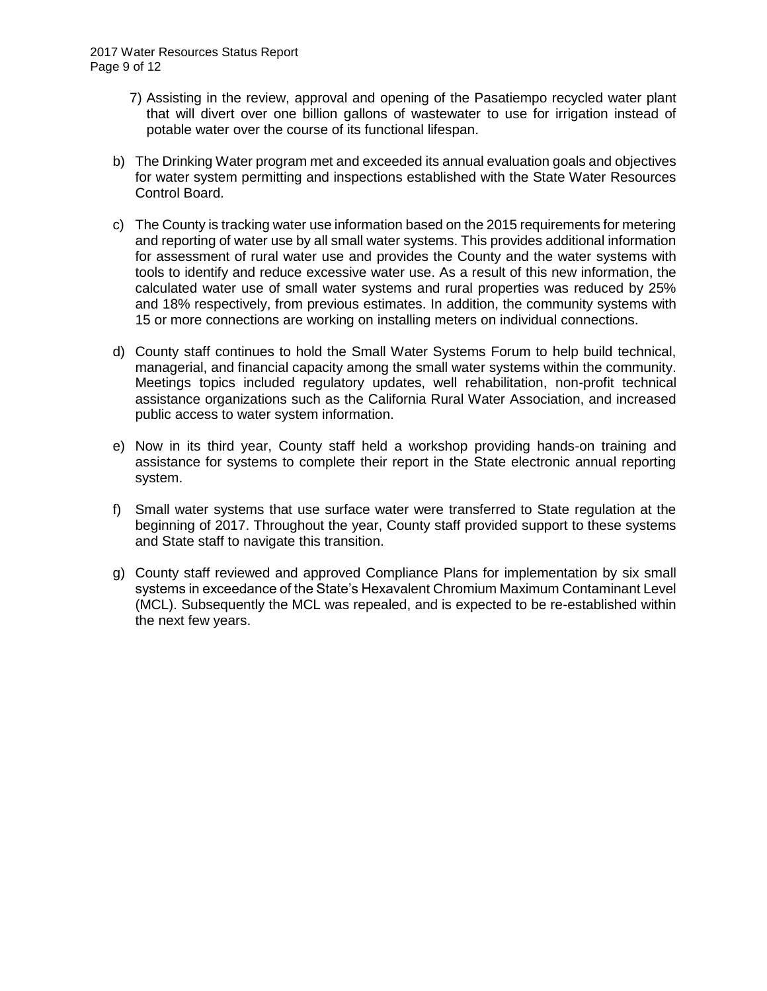- 7) Assisting in the review, approval and opening of the Pasatiempo recycled water plant that will divert over one billion gallons of wastewater to use for irrigation instead of potable water over the course of its functional lifespan.
- b) The Drinking Water program met and exceeded its annual evaluation goals and objectives for water system permitting and inspections established with the State Water Resources Control Board.
- c) The County is tracking water use information based on the 2015 requirements for metering and reporting of water use by all small water systems. This provides additional information for assessment of rural water use and provides the County and the water systems with tools to identify and reduce excessive water use. As a result of this new information, the calculated water use of small water systems and rural properties was reduced by 25% and 18% respectively, from previous estimates. In addition, the community systems with 15 or more connections are working on installing meters on individual connections.
- d) County staff continues to hold the Small Water Systems Forum to help build technical, managerial, and financial capacity among the small water systems within the community. Meetings topics included regulatory updates, well rehabilitation, non-profit technical assistance organizations such as the California Rural Water Association, and increased public access to water system information.
- e) Now in its third year, County staff held a workshop providing hands-on training and assistance for systems to complete their report in the State electronic annual reporting system.
- f) Small water systems that use surface water were transferred to State regulation at the beginning of 2017. Throughout the year, County staff provided support to these systems and State staff to navigate this transition.
- g) County staff reviewed and approved Compliance Plans for implementation by six small systems in exceedance of the State's Hexavalent Chromium Maximum Contaminant Level (MCL). Subsequently the MCL was repealed, and is expected to be re-established within the next few years.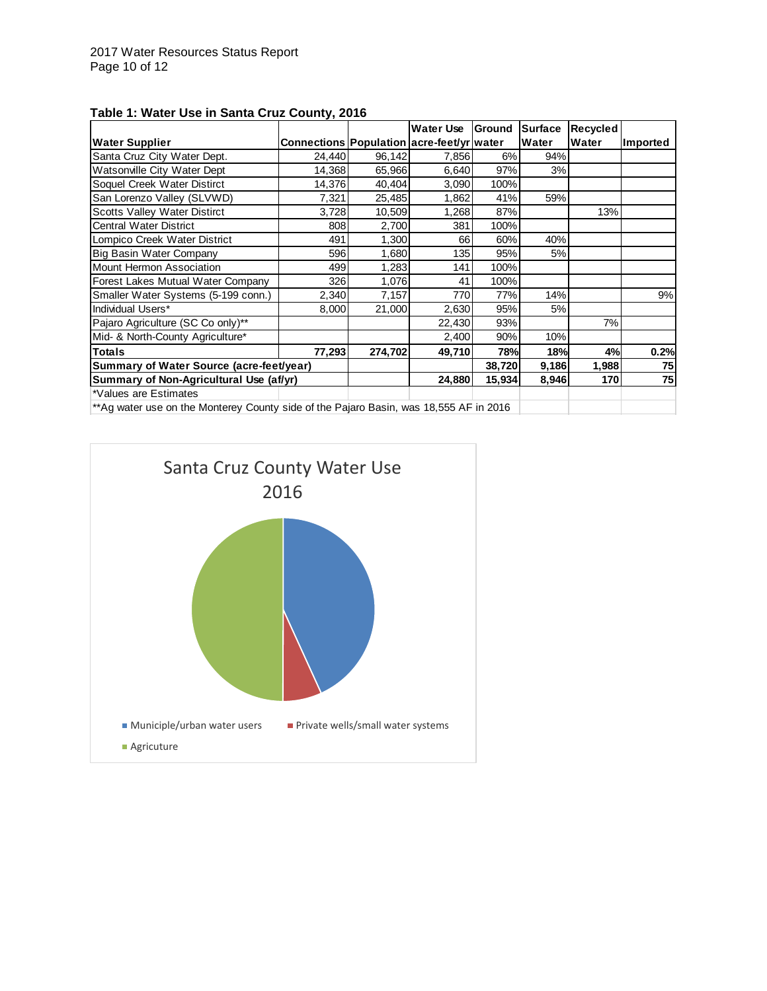|                                                                                       |                                           |         | Water Use | Ground | <b>Surface</b> | Recycled |          |
|---------------------------------------------------------------------------------------|-------------------------------------------|---------|-----------|--------|----------------|----------|----------|
| <b>Water Supplier</b>                                                                 | Connections Population acre-feet/yr water |         |           |        | Water          | Water    | Imported |
| Santa Cruz City Water Dept.                                                           | 24,440                                    | 96,142  | 7,856     | 6%     | 94%            |          |          |
| Watsonville City Water Dept                                                           | 14,368                                    | 65,966  | 6,640     | 97%    | 3%             |          |          |
| Soquel Creek Water Distirct                                                           | 14,376                                    | 40,404  | 3,090     | 100%   |                |          |          |
| San Lorenzo Valley (SLVWD)                                                            | 7,321                                     | 25,485  | 1,862     | 41%    | 59%            |          |          |
| <b>Scotts Valley Water Distirct</b>                                                   | 3,728                                     | 10,509  | 1,268     | 87%    |                | 13%      |          |
| <b>Central Water District</b>                                                         | 808                                       | 2,700   | 381       | 100%   |                |          |          |
| Lompico Creek Water District                                                          | 491                                       | 1,300   | 66        | 60%    | 40%            |          |          |
| Big Basin Water Company                                                               | 596                                       | 1,680   | 135       | 95%    | 5%             |          |          |
| <b>Mount Hermon Association</b>                                                       | 499                                       | 1,283   | 141       | 100%   |                |          |          |
| Forest Lakes Mutual Water Company                                                     | 326                                       | 1,076   | 41        | 100%   |                |          |          |
| Smaller Water Systems (5-199 conn.)                                                   | 2,340                                     | 7,157   | 770       | 77%    | 14%            |          | 9%       |
| Individual Users*                                                                     | 8,000                                     | 21,000  | 2,630     | 95%    | 5%             |          |          |
| Pajaro Agriculture (SC Co only)**                                                     |                                           |         | 22,430    | 93%    |                | 7%       |          |
| Mid- & North-County Agriculture*                                                      |                                           |         | 2,400     | 90%    | 10%            |          |          |
| <b>Totals</b>                                                                         | 77,293                                    | 274,702 | 49,710    | 78%    | 18%            | 4%       | 0.2%     |
| Summary of Water Source (acre-feet/year)                                              |                                           |         |           | 38,720 | 9,186          | 1,988    | 75       |
| Summary of Non-Agricultural Use (af/yr)                                               |                                           |         | 24,880    | 15,934 | 8,946          | 170      | 75       |
| *Values are Estimates                                                                 |                                           |         |           |        |                |          |          |
| **Ag water use on the Monterey County side of the Pajaro Basin, was 18,555 AF in 2016 |                                           |         |           |        |                |          |          |

#### **Table 1: Water Use in Santa Cruz County, 2016**

\*\*Ag water use on the Monterey County side of the Pajaro Basin, was 18,555 AF in 2016

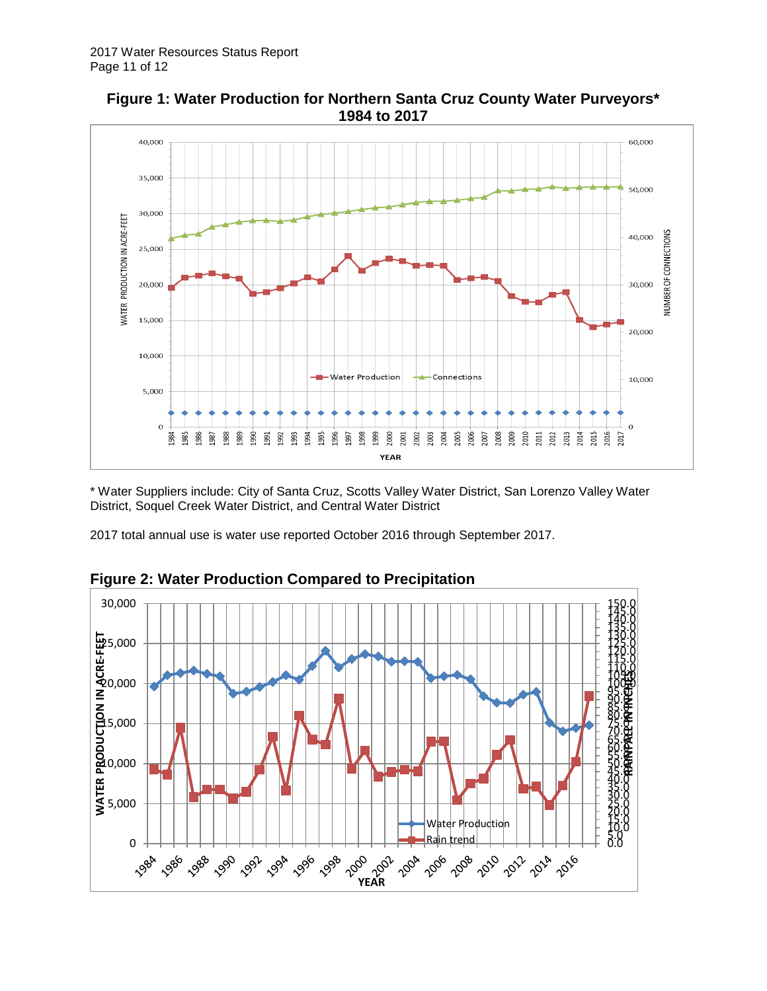

**Figure 1: Water Production for Northern Santa Cruz County Water Purveyors\* 1984 to 2017**

\* Water Suppliers include: City of Santa Cruz, Scotts Valley Water District, San Lorenzo Valley Water District, Soquel Creek Water District, and Central Water District

2017 total annual use is water use reported October 2016 through September 2017.



**Figure 2: Water Production Compared to Precipitation**